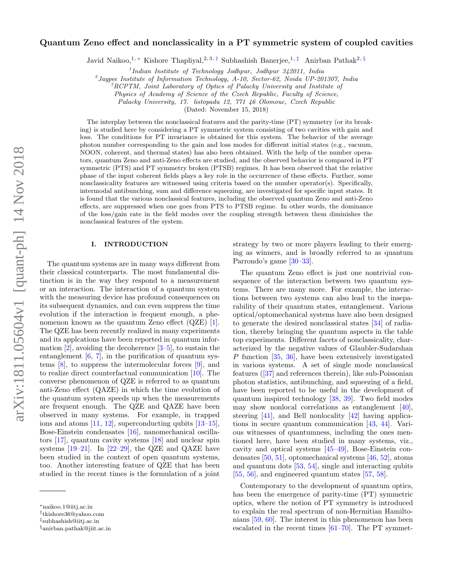# arXiv:1811.05604v1 [quant-ph] 14 Nov 2018 arXiv:1811.05604v1 [quant-ph] 14 Nov 2018

# Quantum Zeno effect and nonclassicality in a PT symmetric system of coupled cavities

Javid Naikoo,<sup>1, \*</sup> Kishore Thapliyal,<sup>2, 3,†</sup> Subhashish Banerjee,<sup>1,‡</sup> Anirban Pathak<sup>2, §</sup>

<sup>1</sup>Indian Institute of Technology Jodhpur, Jodhpur 342011, India

<sup>2</sup> Jaypee Institute of Information Technology, A-10, Sector-62, Noida UP-201307, India

 ${}^{3}RCPTM$ , Joint Laboratory of Optics of Palacky University and Institute of

Physics of Academy of Science of the Czech Republic, Faculty of Science,

Palacky University, 17. listopadu 12, 771 46 Olomouc, Czech Republic

(Dated: November 15, 2018)

The interplay between the nonclassical features and the parity-time (PT) symmetry (or its breaking) is studied here by considering a PT symmetric system consisting of two cavities with gain and loss. The conditions for PT invariance is obtained for this system. The behavior of the average photon number corresponding to the gain and loss modes for different initial states (e.g., vacuum, NOON, coherent, and thermal states) has also been obtained. With the help of the number operators, quantum Zeno and anti-Zeno effects are studied, and the observed behavior is compared in PT symmetric (PTS) and PT symmetry broken (PTSB) regimes. It has been observed that the relative phase of the input coherent fields plays a key role in the occurrence of these effects. Further, some nonclassicality features are witnessed using criteria based on the number operator(s). Specifically, intermodal antibunching, sum and difference squeezing, are investigated for specific input states. It is found that the various nonclassical features, including the observed quantum Zeno and anti-Zeno effects, are suppressed when one goes from PTS to PTSB regime. In other words, the dominance of the loss/gain rate in the field modes over the coupling strength between them diminishes the nonclassical features of the system.

### I. INTRODUCTION

The quantum systems are in many ways different from their classical counterparts. The most fundamental distinction is in the way they respond to a measurement or an interaction. The interaction of a quantum system with the measuring device has profound consequences on its subsequent dynamics, and can even suppress the time evolution if the interaction is frequent enough, a phenomenon known as the quantum Zeno effect (QZE) [1]. The QZE has been recently realized in many experiments and its applcations have been reported in quantum information  $[2]$ , avoiding the decoherence  $[3-5]$ , to sustain the entanglement  $[6, 7]$ , in the purification of quantum systems [8], to suppress the intermolecular forces [9], and to realize direct counterfactual communication [10]. The converse phenomenon of QZE is referred to as quantum anti-Zeno effect (QAZE) in which the time evolution of the quantum system speeds up when the measurements are frequent enough. The QZE and QAZE have been observed in many systems. For example, in trapped ions and atoms [11, 12], superconducting qubits [13–15], Bose-Einstein condensates [16], nanomechanical oscillators [17], quantum cavity systems [18] and nuclear spin systems  $[19-21]$ . In  $[22-29]$ , the QZE and QAZE have been studied in the context of open quantum systems, too. Another interesting feature of QZE that has been studied in the recent times is the formulation of a joint

strategy by two or more players leading to their emerging as winners, and is broadly referred to as quantum Parrondo's game [30–33].

The quantum Zeno effect is just one nontrivial consequence of the interaction between two quantum systems. There are many more. For example, the interactions between two systems can also lead to the inseparability of their quantum states, entanglement. Various optical/optomechanical systems have also been designed to generate the desired nonclassical states [34] of radiation, thereby bringing the quantum aspects in the table top experiments. Different facets of nonclassicality, characterized by the negative values of Glaubler-Sudarshan P function [35, 36], have been extensively investigated in various systems. A set of single mode nonclassical features ([37] and references therein), like sub-Poissonian photon statistics, antibunching, and squeezing of a field, have been reported to be useful in the development of quantum inspired technology [38, 39]. Two field modes may show nonlocal correlations as entanglement [40], steering [41], and Bell nonlocality [42] having applications in secure quantum communication [43, 44]. Various witnesses of quantumness, including the ones mentioned here, have been studied in many systems, viz., cavity and optical systems [45–49], Bose-Einstein condensates [50, 51], optomechanical systems [46, 52], atoms and quantum dots [53, 54], single and interacting qubits [55, 56], and engineered quantum states [57, 58].

Contemporary to the development of quantum optics, has been the emergence of parity-time (PT) symmetric optics, where the notion of PT symmetry is introduced to explain the real spectrum of non-Hermitian Hamiltonians [59, 60]. The interest in this phenomenon has been escalated in the recent times [61–70]. The PT symmet-

<sup>∗</sup>naikoo.1@iitj.ac.in

<sup>†</sup> tkishore36@yahoo.com

<sup>‡</sup> subhashish@iitj.ac.in

<sup>§</sup>anirban.pathak@jiit.ac.in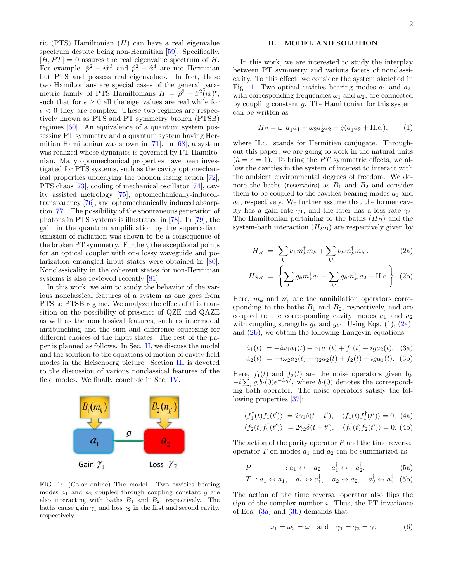ric (PTS) Hamiltonian  $(H)$  can have a real eigenvalue spectrum despite being non-Hermitian [59]. Specifically,  $[H, PT] = 0$  assures the real eigenvalue spectrum of H. For example,  $\hat{p}^2 + i\hat{x}^3$  and  $\hat{p}^2 - \hat{x}^4$  are not Hermitian but PTS and possess real eigenvalues. In fact, these two Hamiltonians are special cases of the general parametric family of PTS Hamiltonians  $H = \hat{p}^2 + \hat{x}^2 (i\hat{x})^{\epsilon}$ , such that for  $\epsilon \geq 0$  all the eigenvalues are real while for  $\epsilon$  < 0 they are complex. These two regimes are respectively known as PTS and PT symmetry broken (PTSB) regimes [60]. An equivalence of a quantum system possessing PT symmetry and a quantum system having Hermitian Hamiltonian was shown in [71]. In [68], a system was realized whose dynamics is governed by PT Hamiltonian. Many optomechanical properties have been investigated for PTS systems, such as the cavity optomechanical properties underlying the phonon lasing action [72], PTS chaos [73], cooling of mechanical oscillator [74], cavity assisted metrology [75], optomechanically-inducedtransparency [76], and optomechanically induced absorption [77]. The possibility of the spontaneous generation of photons in PTS systems is illustrated in [78]. In [79], the gain in the quantum amplification by the superradiant emission of radiation was shown to be a consequence of the broken PT symmetry. Further, the exceptional points for an optical coupler with one lossy waveguide and polarization entangled input states were obtained in [80]. Nonclassicality in the coherent states for non-Hermitian systems is also reviewed recently [81].

In this work, we aim to study the behavior of the various nonclassical features of a system as one goes from PTS to PTSB regime. We analyze the effect of this transition on the possibility of presence of QZE and QAZE as well as the nonclassical features, such as intermodal antibunching and the sum and difference squeezing for different choices of the input states. The rest of the paper is planned as follows. In Sec. II, we discuss the model and the solution to the equations of motion of cavity field modes in the Heisenberg picture. Section III is devoted to the discussion of various nonclassical features of the field modes. We finally conclude in Sec. IV.



FIG. 1: (Color online) The model. Two cavities bearing modes  $a_1$  and  $a_2$  coupled through coupling constant  $g$  are also interacting with baths  $B_1$  and  $B_2$ , respectively. The baths cause gain  $\gamma_1$  and loss  $\gamma_2$  in the first and second cavity, respectively.

### II. MODEL AND SOLUTION

In this work, we are interested to study the interplay between PT symmetry and various facets of nonclassicality. To this effect, we consider the system sketched in Fig. 1. Two optical cavities bearing modes  $a_1$  and  $a_2$ , with corresponding frequencies  $\omega_1$  and  $\omega_2$ , are connected by coupling constant  $g$ . The Hamiltonian for this system can be written as

$$
H_S = \omega_1 a_1^{\dagger} a_1 + \omega_2 a_2^{\dagger} a_2 + g(a_1^{\dagger} a_2 + \text{H.c.}), \quad (1)
$$

where H.c. stands for Hermitian conjugate. Throughout this paper, we are going to work in the natural units  $(\hbar = c = 1)$ . To bring the PT symmetric effects, we allow the cavities in the system of interest to interact with the ambient environmental degrees of freedom. We denote the baths (reservoirs) as  $B_1$  and  $B_2$  and consider them to be coupled to the cavities bearing modes  $a_1$  and  $a_2$ , respectively. We further assume that the former cavity has a gain rate  $\gamma_1$ , and the later has a loss rate  $\gamma_2$ . The Hamiltonian pertaining to the baths  $(H_B)$  and the system-bath interaction  $(H_{SB})$  are respectively given by

$$
H_B = \sum_k \nu_k m_k^{\dagger} m_k + \sum_{k'} \nu_{k'} n_k^{\dagger} n_{k'},
$$
 (2a)  

$$
H_{SB} = \left\{ \sum_k g_k m_k^{\dagger} a_1 + \sum_{k'} g_{k'} n_{k'}^{\dagger} a_2 + \text{H.c.} \right\}.
$$
 (2b)

Here,  $m_k$  and  $n'_k$  are the annihilation operators corresponding to the baths  $B_1$  and  $B_2$ , respectively, and are coupled to the corresponding cavity modes  $a_1$  and  $a_2$ with coupling strengths  $g_k$  and  $g_{k'}$ . Using Eqs. (1), (2a), and  $(2b)$ , we obtain the following Langevin equations:

$$
\dot{a}_1(t) = -i\omega_1 a_1(t) + \gamma_1 a_1(t) + f_1(t) - ig_2(t), \quad (3a)
$$
  

$$
\dot{a}_2(t) = -i\omega_2 a_2(t) - \gamma_2 a_2(t) + f_2(t) - ig_1(t). \quad (3b)
$$

Here,  $f_1(t)$  and  $f_2(t)$  are the noise operators given by  $-i\sum_{l} g_{l} b_{l}(0)e^{-i\nu_{l}t}$ , where  $b_{l}(0)$  denotes the corresponding bath operator. The noise operators satisfy the following properties [37]:

$$
\langle f_1^{\dagger}(t)f_1(t')\rangle = 2\gamma_1 \delta(t - t'), \quad \langle f_1(t)f_1^{\dagger}(t')\rangle = 0, \text{ (4a)}
$$
  

$$
\langle f_2(t)f_2^{\dagger}(t')\rangle = 2\gamma_2 \delta(t - t'), \quad \langle f_2^{\dagger}(t)f_2(t')\rangle = 0. \text{ (4b)}
$$

The action of the parity operator  $P$  and the time reversal operator  $T$  on modes  $a_1$  and  $a_2$  can be summarized as

$$
P \qquad : a_1 \leftrightarrow -a_2, \quad a_1^{\dagger} \leftrightarrow -a_2^{\dagger}, \tag{5a}
$$

$$
T: a_1 \leftrightarrow a_1, \quad a_1^{\dagger} \leftrightarrow a_1^{\dagger}, \quad a_2 \leftrightarrow a_2, \quad a_2^{\dagger} \leftrightarrow a_2^{\dagger}.
$$
 (5b)

The action of the time reversal operator also flips the sign of the complex number  $i$ . Thus, the PT invariance of Eqs. (3a) and (3b) demands that

$$
\omega_1 = \omega_2 = \omega \quad \text{and} \quad \gamma_1 = \gamma_2 = \gamma. \tag{6}
$$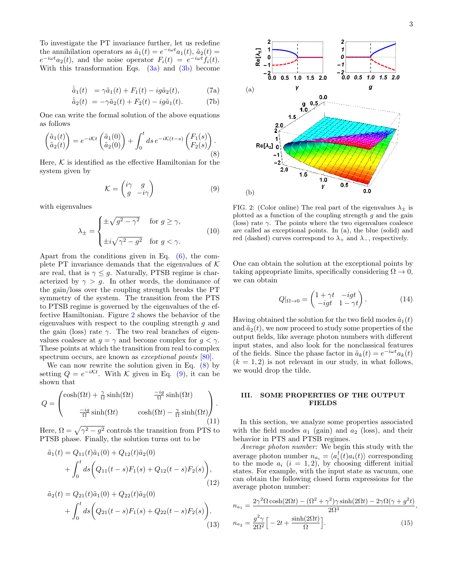To investigate the PT invariance further, let us redefine the annihilation operators as  $\tilde{a}_1(t) = e^{-i\omega t} a_1(t)$ ,  $\tilde{a}_2(t) =$  $e^{-i\omega t}a_2(t)$ , and the noise operator  $F_i(t) = e^{-i\omega t}f_i(t)$ . With this transformation Eqs.  $(3a)$  and  $(3b)$  become

$$
\dot{\tilde{a}}_1(t) = \gamma \tilde{a}_1(t) + F_1(t) - ig\tilde{a}_2(t), \tag{7a}
$$

$$
\dot{\tilde{a}}_2(t) = -\gamma \tilde{a}_2(t) + F_2(t) - ig\tilde{a}_1(t). \tag{7b}
$$

One can write the formal solution of the above equations as follows

$$
\begin{pmatrix}\n\tilde{a}_1(t) \\
\tilde{a}_2(t)\n\end{pmatrix} = e^{-i\mathcal{K}t} \begin{pmatrix}\n\tilde{a}_1(0) \\
\tilde{a}_2(0)\n\end{pmatrix} + \int_0^t ds \, e^{-i\mathcal{K}(t-s)} \begin{pmatrix}\nF_1(s) \\
F_2(s)\n\end{pmatrix} .
$$
\n(8)

Here,  $K$  is identified as the effective Hamiltonian for the system given by

$$
\mathcal{K} = \begin{pmatrix} i\gamma & g \\ g & -i\gamma \end{pmatrix} \tag{9}
$$

with eigenvalues

$$
\lambda_{\pm} = \begin{cases} \pm \sqrt{g^2 - \gamma^2} & \text{for } g \ge \gamma, \\ \pm i \sqrt{\gamma^2 - g^2} & \text{for } g < \gamma. \end{cases}
$$
(10)

Apart from the conditions given in Eq. (6), the complete PT invariance demands that the eigenvalues of  $K$ are real, that is  $\gamma \leq g$ . Naturally, PTSB regime is characterized by  $\gamma > g$ . In other words, the dominance of the gain/loss over the coupling strength breaks the PT symmetry of the system. The transition from the PTS to PTSB regime is governed by the eigenvalues of the effective Hamiltonian. Figure 2 shows the behavior of the eigenvalues with respect to the coupling strength  $q$  and the gain (loss) rate  $\gamma$ . The two real branches of eigenvalues coalesce at  $q = \gamma$  and become complex for  $q < \gamma$ . These points at which the transition from real to complex spectrum occurs, are known as *exceptional points* [80].

We can now rewrite the solution given in Eq.  $(8)$  by setting  $Q = e^{-i\mathcal{K}t}$ . With  $\mathcal K$  given in Eq. (9), it can be shown that

$$
Q = \begin{pmatrix} \cosh(\Omega t) + \frac{\gamma}{\Omega} \sinh(\Omega t) & \frac{-ig}{\Omega} \sinh(\Omega t) \\ \frac{-ig}{\Omega} \sinh(\Omega t) & \cosh(\Omega t) - \frac{\gamma}{\Omega} \sinh(\Omega t) \end{pmatrix} . \tag{11}
$$

Here,  $\Omega = \sqrt{\gamma^2 - g^2}$  controls the transition from PTS to PTSB phase. Finally, the solution turns out to be

$$
\tilde{a}_1(t) = Q_{11}(t)\tilde{a}_1(0) + Q_{12}(t)\tilde{a}_2(0) \n+ \int_0^t ds \bigg( Q_{11}(t-s)F_1(s) + Q_{12}(t-s)F_2(s) \bigg),
$$
\n(12)

$$
\tilde{a}_2(t) = Q_{21}(t)\tilde{a}_1(0) + Q_{22}(t)\tilde{a}_2(0) \n+ \int_0^t ds \bigg(Q_{21}(t-s)F_1(s) + Q_{22}(t-s)F_2(s)\bigg).
$$
\n(13)



FIG. 2: (Color online) The real part of the eigenvalues  $\lambda_{\pm}$  is plotted as a function of the coupling strength  $q$  and the gain (loss) rate  $\gamma$ . The points where the two eigenvalues coalesce are called as exceptional points. In (a), the blue (solid) and red (dashed) curves correspond to  $\lambda_+$  and  $\lambda_-$ , respectively.

One can obtain the solution at the exceptional points by taking appropriate limits, specifically considering  $\Omega \to 0$ , we can obtain

$$
Q|_{\Omega \to 0} = \begin{pmatrix} 1 + \gamma t & -igt \\ -igt & 1 - \gamma t \end{pmatrix}.
$$
 (14)

Having obtained the solution for the two field modes  $\tilde{a}_1(t)$ and  $\tilde{a}_2(t)$ , we now proceed to study some properties of the output fields, like average photon numbers with different input states, and also look for the nonclassical features of the fields. Since the phase factor in  $\tilde{a}_k(t) = e^{-i\omega t} a_k(t)$  $(k = 1, 2)$  is not relevant in our study, in what follows, we would drop the tilde.

## III. SOME PROPERTIES OF THE OUTPUT FIELDS

In this section, we analyze some properties associated with the field modes  $a_1$  (gain) and  $a_2$  (loss), and their behavior in PTS and PTSB regimes.

Average photon number: We begin this study with the average photon number  $n_{a_i} = \langle a_i^{\dagger}(t) a_i(t) \rangle$  corresponding to the mode  $a_i$   $(i = 1, 2)$ , by choosing different initial states. For example, with the input state as vacuum, one can obtain the following closed form expressions for the average photon number:

$$
n_{a_1} = \frac{2\gamma^2 \Omega \cosh(2\Omega t) - (\Omega^2 + \gamma^2)\gamma \sinh(2\Omega t) - 2\gamma \Omega(\gamma + g^2 t)}{2\Omega^3}
$$
  

$$
n_{a_2} = \frac{g^2 \gamma}{2\Omega^2} \Big[ -2t + \frac{\sinh(2\Omega t)}{\Omega} \Big].
$$
 (15)

,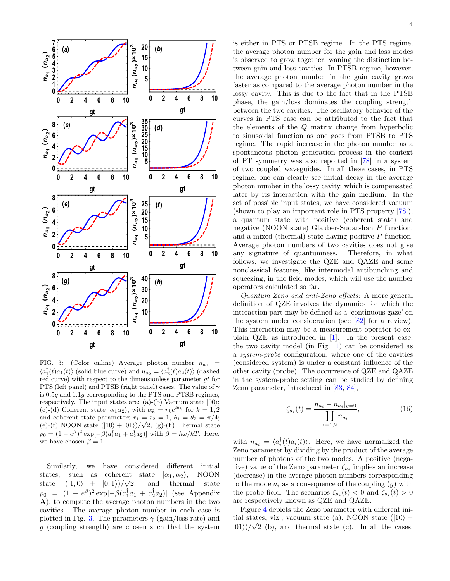

FIG. 3: (Color online) Average photon number  $n_{a_1}$  =  $\langle a_1^{\dagger}(t)a_1(t)\rangle$  (solid blue curve) and  $n_{a_2} = \langle a_2^{\dagger}(t)a_2(t)\rangle$  (dashed red curve) with respect to the dimensionless parameter gt for PTS (left panel) and PTSB (right panel) cases. The value of  $\gamma$ is 0.5g and 1.1g corresponding to the PTS and PTSB regimes, respectively. The input states are: (a)-(b) Vacuum state  $|00\rangle$ ; (c)-(d) Coherent state  $|\alpha_1 \alpha_2\rangle$ , with  $\alpha_k = r_k e^{i\theta_k}$  for  $k = 1, 2$ and coherent state parameters  $r_1 = r_2 = 1, \theta_1 = \theta_2 = \pi/4;$ (e)-(f) NOON state  $(|10\rangle + |01\rangle)/\sqrt{2}$ ; (g)-(h) Thermal state  $\rho_0 = (1 - e^{\beta})^2 \exp[-\beta(a_1^{\dagger} a_1 + a_2^{\dagger} a_2)]$  with  $\beta = \hbar \omega / kT$ . Here, we have chosen  $\beta = 1$ .

Similarly, we have considered different initial states, such as coherent state  $|\alpha_1, \alpha_2\rangle$ , NOON<br>state  $(|1, 0\rangle + |0, 1\rangle)/\sqrt{2}$ , and thermal state state  $(|1,0\rangle + |0,1\rangle)/\sqrt{\ }$ thermal  $\rho_0 = (1 - e^{\beta})^2 \exp[-\beta(a_1^{\dagger} a_1 + a_2^{\dagger} a_2)]$  (see Appendix A), to compute the average photon numbers in the two cavities. The average photon number in each case is plotted in Fig. 3. The parameters  $\gamma$  (gain/loss rate) and g (coupling strength) are chosen such that the system 4

is either in PTS or PTSB regime. In the PTS regime, the average photon number for the gain and loss modes is observed to grow together, waning the distinction between gain and loss cavities. In PTSB regime, however, the average photon number in the gain cavity grows faster as compared to the average photon number in the lossy cavity. This is due to the fact that in the PTSB phase, the gain/loss dominates the coupling strength between the two cavities. The oscillatory behavior of the curves in PTS case can be attributed to the fact that the elements of the Q matrix change from hyperbolic to sinusoidal function as one goes from PTSB to PTS regime. The rapid increase in the photon number as a spontaneous photon generation process in the context of PT symmetry was also reported in [78] in a system of two coupled waveguides. In all these cases, in PTS regime, one can clearly see initial decay in the average photon number in the lossy cavity, which is compensated later by its interaction with the gain medium. In the set of possible input states, we have considered vacuum (shown to play an important role in PTS property [78]), a quantum state with positive (coherent state) and negative (NOON state) Glauber-Sudarshan P function, and a mixed (thermal) state having positive P function. Average photon numbers of two cavities does not give any signature of quantumness. Therefore, in what follows, we investigate the QZE and QAZE and some nonclassical features, like intermodal antibunching and squeezing, in the field modes, which will use the number operators calculated so far.

Quantum Zeno and anti-Zeno effects: A more general definition of QZE involves the dynamics for which the interaction part may be defined as a 'continuous gaze' on the system under consideration (see [82] for a review). This interaction may be a measurement operator to explain QZE as introduced in [1]. In the present case, the two cavity model (in Fig. 1) can be considered as a system-probe configuration, where one of the cavities (considered system) is under a constant influence of the other cavity (probe). The occurrence of QZE and QAZE in the system-probe setting can be studied by defining Zeno parameter, introduced in [83, 84],

$$
\zeta_{a_i}(t) = \frac{n_{a_i} - n_{a_i}|_{g=0}}{\prod_{i=1,2} n_{a_i}},\tag{16}
$$

with  $n_{a_i} = \langle a_i^{\dagger}(t) a_i(t) \rangle$ . Here, we have normalized the Zeno parameter by dividing by the product of the average number of photons of the two modes. A positive (negative) value of the Zeno parameter  $\zeta_{a_i}$  implies an increase (decrease) in the average photon numbers corresponding to the mode  $a_i$  as a consequence of the coupling  $(g)$  with the probe field. The scenarios  $\zeta_{a_i}(t) < 0$  and  $\zeta_{a_i}(t) > 0$ are respectively known as QZE and QAZE.

Figure 4 depicts the Zeno parameter with different initial states, viz., vacuum state (a), NOON state ( $|10\rangle$  +  $|01\rangle$ )/ $\sqrt{2}$  (b), and thermal state (c). In all the cases,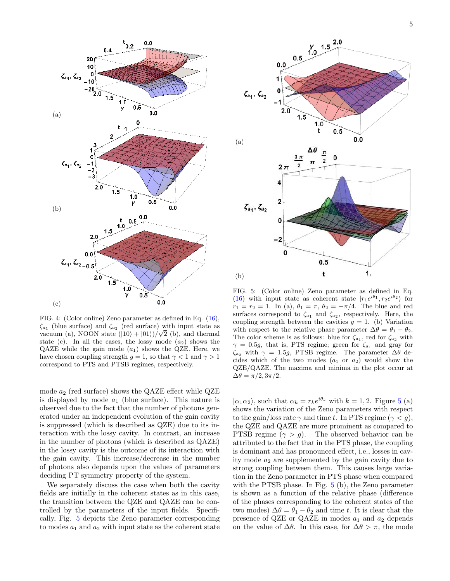

FIG. 4: (Color online) Zeno parameter as defined in Eq. (16),  $\zeta_{a_1}$  (blue surface) and  $\zeta_{a_2}$  (red surface) with input state as vacuum (a), NOON state  $(|10\rangle + |01\rangle)/\sqrt{2}$  (b), and thermal state (c). In all the cases, the lossy mode  $(a_2)$  shows the QAZE while the gain mode  $(a_1)$  shows the QZE. Here, we have chosen coupling strength  $q = 1$ , so that  $\gamma < 1$  and  $\gamma > 1$ correspond to PTS and PTSB regimes, respectively.

mode  $a_2$  (red surface) shows the QAZE effect while QZE is displayed by mode  $a_1$  (blue surface). This nature is observed due to the fact that the number of photons generated under an independent evolution of the gain cavity is suppressed (which is described as QZE) due to its interaction with the lossy cavity. In contrast, an increase in the number of photons (which is described as QAZE) in the lossy cavity is the outcome of its interaction with the gain cavity. This increase/decrease in the number of photons also depends upon the values of parameters deciding PT symmetry property of the system.

We separately discuss the case when both the cavity fields are initially in the coherent states as in this case, the transition between the QZE and QAZE can be controlled by the parameters of the input fields. Specifically, Fig. 5 depicts the Zeno parameter corresponding to modes  $a_1$  and  $a_2$  with input state as the coherent state



FIG. 5: (Color online) Zeno parameter as defined in Eq. (16) with input state as coherent state  $|r_1e^{i\theta_1}, r_2e^{i\theta_2}\rangle$  for  $r_1 = r_2 = 1$ . In (a),  $\theta_1 = \pi$ ,  $\theta_2 = -\pi/4$ . The blue and red surfaces correspond to  $\zeta_{a_1}$  and  $\zeta_{a_2}$ , respectively. Here, the coupling strength between the cavities  $g = 1$ . (b) Variation with respect to the relative phase parameter  $\Delta\theta = \theta_1 - \theta_2$ . The color scheme is as follows: blue for  $\zeta_{a_1}$ , red for  $\zeta_{a_2}$  with  $\gamma = 0.5g$ , that is, PTS regime; green for  $\zeta_{a_1}$  and gray for  $\zeta_{a_2}$  with  $\gamma = 1.5g$ , PTSB regime. The parameter  $\Delta\theta$  decides which of the two modes  $(a_1 \text{ or } a_2)$  would show the QZE/QAZE. The maxima and minima in the plot occur at  $\Delta\theta = \pi/2, 3\pi/2.$ 

 $|\alpha_1\alpha_2\rangle$ , such that  $\alpha_k = r_k e^{i\theta_k}$  with  $k = 1, 2$ . Figure 5 (a) shows the variation of the Zeno parameters with respect to the gain/loss rate  $\gamma$  and time t. In PTS regime ( $\gamma < q$ ), the QZE and QAZE are more prominent as compared to PTSB regime  $(\gamma > g)$ . The observed behavior can be attributed to the fact that in the PTS phase, the coupling is dominant and has pronounced effect, i.e., losses in cavity mode  $a_2$  are supplemented by the gain cavity due to strong coupling between them. This causes large variation in the Zeno parameter in PTS phase when compared with the PTSB phase. In Fig. 5 (b), the Zeno parameter is shown as a function of the relative phase (difference of the phases corresponding to the coherent states of the two modes)  $\Delta \theta = \theta_1 - \theta_2$  and time t. It is clear that the presence of QZE or QAZE in modes  $a_1$  and  $a_2$  depends on the value of  $\Delta\theta$ . In this case, for  $\Delta\theta > \pi$ , the mode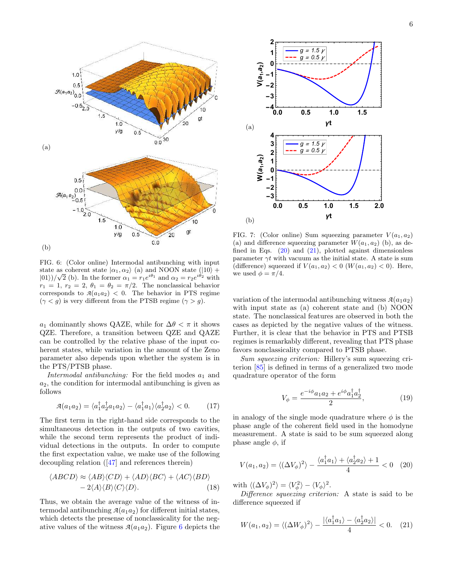

FIG. 6: (Color online) Intermodal antibunching with input state as coherent state  $|\alpha_1, \alpha_2\rangle$  (a) and NOON state ( $|10\rangle$  +  $|01\rangle/\sqrt{2}$  (b). In the former  $\alpha_1 = r_1 e^{i\theta_1}$  and  $\alpha_2 = r_2 e^{i\theta_2}$  with  $r_1 = 1, r_2 = 2, \theta_1 = \theta_2 = \pi/2$ . The nonclassical behavior corresponds to  $A(a_1a_2) < 0$ . The behavior in PTS regime  $(\gamma < g)$  is very different from the PTSB regime  $(\gamma > g)$ .

 $a_1$  dominantly shows QAZE, while for  $\Delta\theta < \pi$  it shows QZE. Therefore, a transition between QZE and QAZE can be controlled by the relative phase of the input coherent states, while variation in the amount of the Zeno parameter also depends upon whether the system is in the PTS/PTSB phase.

Intermodal antibunching: For the field modes  $a_1$  and  $a_2$ , the condition for intermodal antibunching is given as follows

$$
\mathcal{A}(a_1 a_2) = \langle a_1^\dagger a_2^\dagger a_1 a_2 \rangle - \langle a_1^\dagger a_1 \rangle \langle a_2^\dagger a_2 \rangle < 0. \tag{17}
$$

The first term in the right-hand side corresponds to the simultaneous detection in the outputs of two cavities, while the second term represents the product of individual detections in the outputs. In order to compute the first expectation value, we make use of the following decoupling relation ([47] and references therein)

$$
\langle ABCD \rangle \approx \langle AB \rangle \langle CD \rangle + \langle AD \rangle \langle BC \rangle + \langle AC \rangle \langle BD \rangle - 2\langle A \rangle \langle B \rangle \langle C \rangle \langle D \rangle.
$$
 (18)

Thus, we obtain the average value of the witness of intermodal antibunching  $A(a_1a_2)$  for different initial states, which detects the presense of nonclassicality for the negative values of the witness  $A(a_1a_2)$ . Figure 6 depicts the



FIG. 7: (Color online) Sum squeezing parameter  $V(a_1, a_2)$ (a) and difference squeezing parameter  $W(a_1, a_2)$  (b), as defined in Eqs. (20) and (21), plotted against dimensionless parameter  $\gamma t$  with vacuum as the initial state. A state is sum (difference) squeezed if  $V(a_1, a_2) < 0$  ( $W(a_1, a_2) < 0$ ). Here, we used  $\phi = \pi/4$ .

variation of the intermodal antibunching witness  $A(a_1a_2)$ with input state as (a) coherent state and (b) NOON state. The nonclassical features are observed in both the cases as depicted by the negative values of the witness. Further, it is clear that the behavior in PTS and PTSB regimes is remarkably different, revealing that PTS phase favors nonclassicality compared to PTSB phase.

Sum squeezing criterion: Hillery's sum squeezing criterion [85] is defined in terms of a generalized two mode quadrature operator of the form

$$
V_{\phi} = \frac{e^{-i\phi}a_1a_2 + e^{i\phi}a_1^{\dagger}a_2^{\dagger}}{2},\tag{19}
$$

in analogy of the single mode quadrature where  $\phi$  is the phase angle of the coherent field used in the homodyne measurement. A state is said to be sum squeezed along phase angle  $\phi$ , if

$$
V(a_1, a_2) = \langle (\Delta V_{\phi})^2 \rangle - \frac{\langle a_1^{\dagger} a_1 \rangle + \langle a_2^{\dagger} a_2 \rangle + 1}{4} < 0 \quad (20)
$$

with  $\langle (\Delta V_{\phi})^2 \rangle = \langle V_{\phi}^2 \rangle - \langle V_{\phi} \rangle^2$ .

Difference squeezing criterion: A state is said to be difference squeezed if

$$
W(a_1, a_2) = \langle (\Delta W_{\phi})^2 \rangle - \frac{|\langle a_1^{\dagger} a_1 \rangle - \langle a_2^{\dagger} a_2 \rangle|}{4} < 0. \quad (21)
$$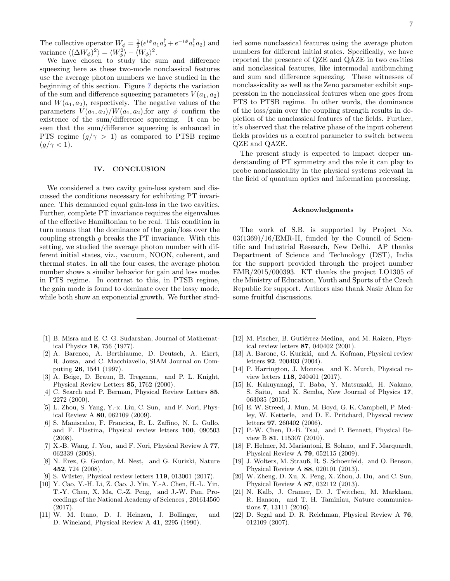The collective operator  $W_{\phi} = \frac{1}{2} (e^{i\phi} a_1 a_2^{\dagger} + e^{-i\phi} a_1^{\dagger} a_2)$  and variance  $\langle (\Delta W_{\phi})^2 \rangle = \langle W_{\phi}^2 \rangle - \langle W_{\phi} \rangle^2$ .

We have chosen to study the sum and difference squeezing here as these two-mode nonclassical features use the average photon numbers we have studied in the beginning of this section. Figure 7 depicts the variation of the sum and difference squeezing parameters  $V(a_1, a_2)$ and  $W(a_1, a_2)$ , respectively. The negative values of the parameters  $V(a_1, a_2)/W(a_1, a_2)$ , for any  $\phi$  confirm the existence of the sum/difference squeezing. It can be seen that the sum/difference squeezing is enhanced in PTS regime  $(g/\gamma > 1)$  as compared to PTSB regime  $(q/\gamma < 1)$ .

### IV. CONCLUSION

We considered a two cavity gain-loss system and discussed the conditions necessary for exhibiting PT invariance. This demanded equal gain-loss in the two cavities. Further, complete PT invariance requires the eigenvalues of the effective Hamiltonian to be real. This condition in turn means that the dominance of the gain/loss over the coupling strength  $g$  breaks the PT invariance. With this setting, we studied the average photon number with different initial states, viz., vacuum, NOON, coherent, and thermal states. In all the four cases, the average photon number shows a similar behavior for gain and loss modes in PTS regime. In contrast to this, in PTSB regime, the gain mode is found to dominate over the lossy mode, while both show an exponential growth. We further studied some nonclassical features using the average photon numbers for different initial states. Specifically, we have reported the presence of QZE and QAZE in two cavities and nonclassical features, like intermodal antibunching and sum and difference squeezing. These witnesses of nonclassicality as well as the Zeno parameter exhibit suppression in the nonclassical features when one goes from PTS to PTSB regime. In other words, the dominance of the loss/gain over the coupling strength results in depletion of the nonclassical features of the fields. Further, it's observed that the relative phase of the input coherent fields provides us a control parameter to switch between QZE and QAZE.

The present study is expected to impact deeper understanding of PT symmetry and the role it can play to probe nonclassicality in the physical systems relevant in the field of quantum optics and information processing.

### Acknowledgments

The work of S.B. is supported by Project No.  $03(1369)/16$ /EMR-II, funded by the Council of Scientific and Industrial Research, New Delhi. AP thanks Department of Science and Technology (DST), India for the support provided through the project number EMR/2015/000393. KT thanks the project LO1305 of the Ministry of Education, Youth and Sports of the Czech Republic for support. Authors also thank Nasir Alam for some fruitful discussions.

- [1] B. Misra and E. C. G. Sudarshan, Journal of Mathematical Physics 18, 756 (1977).
- [2] A. Barenco, A. Berthiaume, D. Deutsch, A. Ekert, R. Jozsa, and C. Macchiavello, SIAM Journal on Computing 26, 1541 (1997).
- [3] A. Beige, D. Braun, B. Tregenna, and P. L. Knight, Physical Review Letters 85, 1762 (2000).
- [4] C. Search and P. Berman, Physical Review Letters 85, 2272 (2000).
- [5] L. Zhou, S. Yang, Y.-x. Liu, C. Sun, and F. Nori, Physical Review A 80, 062109 (2009).
- [6] S. Maniscalco, F. Francica, R. L. Zaffino, N. L. Gullo, and F. Plastina, Physical review letters 100, 090503 (2008).
- [7] X.-B. Wang, J. You, and F. Nori, Physical Review A 77, 062339 (2008).
- [8] N. Erez, G. Gordon, M. Nest, and G. Kurizki, Nature 452, 724 (2008).
- [9] S. Wüster, Physical review letters **119**, 013001 (2017).
- [10] Y. Cao, Y.-H. Li, Z. Cao, J. Yin, Y.-A. Chen, H.-L. Yin, T.-Y. Chen, X. Ma, C.-Z. Peng, and J.-W. Pan, Proceedings of the National Academy of Sciences , 201614560 (2017).
- [11] W. M. Itano, D. J. Heinzen, J. Bollinger, and D. Wineland, Physical Review A 41, 2295 (1990).
- [12] M. Fischer, B. Gutiérrez-Medina, and M. Raizen, Physical review letters 87, 040402 (2001).
- [13] A. Barone, G. Kurizki, and A. Kofman, Physical review letters 92, 200403 (2004).
- [14] P. Harrington, J. Monroe, and K. Murch, Physical review letters 118, 240401 (2017).
- [15] K. Kakuyanagi, T. Baba, Y. Matsuzaki, H. Nakano, S. Saito, and K. Semba, New Journal of Physics 17, 063035 (2015).
- [16] E. W. Streed, J. Mun, M. Boyd, G. K. Campbell, P. Medley, W. Ketterle, and D. E. Pritchard, Physical review letters 97, 260402 (2006).
- [17] P.-W. Chen, D.-B. Tsai, and P. Bennett, Physical Review B 81, 115307 (2010).
- [18] F. Helmer, M. Mariantoni, E. Solano, and F. Marquardt, Physical Review A 79, 052115 (2009).
- [19] J. Wolters, M. Strauß, R. S. Schoenfeld, and O. Benson, Physical Review A 88, 020101 (2013).
- [20] W. Zheng, D. Xu, X. Peng, X. Zhou, J. Du, and C. Sun, Physical Review A 87, 032112 (2013).
- [21] N. Kalb, J. Cramer, D. J. Twitchen, M. Markham, R. Hanson, and T. H. Taminiau, Nature communications 7, 13111 (2016).
- [22] D. Segal and D. R. Reichman, Physical Review A 76, 012109 (2007).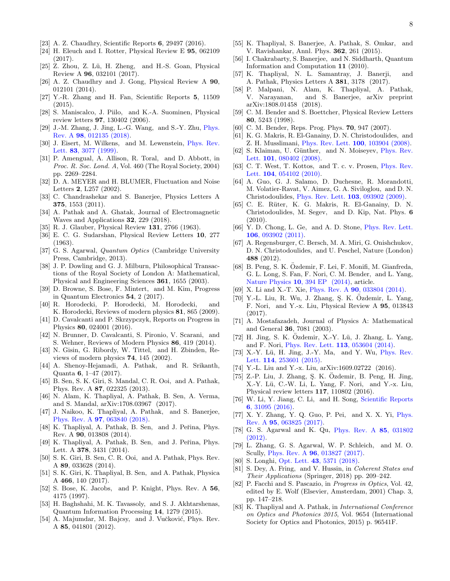- [23] A. Z. Chaudhry, Scientific Reports 6, 29497 (2016).
- [24] H. Eleuch and I. Rotter, Physical Review E 95, 062109 (2017).
- [25] Z. Zhou, Z. Lü, H. Zheng, and H.-S. Goan, Physical Review A 96, 032101 (2017).
- [26] A. Z. Chaudhry and J. Gong, Physical Review A 90, 012101 (2014).
- [27] Y.-R. Zhang and H. Fan, Scientific Reports 5, 11509  $(2015).$
- [28] S. Maniscalco, J. Piilo, and K.-A. Suominen, Physical review letters 97, 130402 (2006).
- [29] J.-M. Zhang, J. Jing, L.-G. Wang, and S.-Y. Zhu, Phys. Rev. A 98, 012135 (2018).
- [30] J. Eisert, M. Wilkens, and M. Lewenstein, Phys. Rev. Lett. 83, 3077 (1999).
- [31] P. Amengual, A. Allison, R. Toral, and D. Abbott, in Proc. R. Soc. Lond. A, Vol. 460 (The Royal Society, 2004) pp. 2269–2284.
- [32] D. A. MEYER and H. BLUMER, Fluctuation and Noise Letters 2, L257 (2002).
- [33] C. Chandrashekar and S. Banerjee, Physics Letters A 375, 1553 (2011).
- [34] A. Pathak and A. Ghatak, Journal of Electromagnetic Waves and Applications 32, 229 (2018).
- [35] R. J. Glauber, Physical Review 131, 2766 (1963).
- [36] E. C. G. Sudarshan, Physical Review Letters 10, 277 (1963).
- [37] G. S. Agarwal, Quantum Optics (Cambridge University Press, Cambridge, 2013).
- [38] J. P. Dowling and G. J. Milburn, Philosophical Transactions of the Royal Society of London A: Mathematical, Physical and Engineering Sciences 361, 1655 (2003).
- [39] D. Browne, S. Bose, F. Mintert, and M. Kim, Progress in Quantum Electronics 54, 2 (2017).
- [40] R. Horodecki, P. Horodecki, M. Horodecki, and K. Horodecki, Reviews of modern physics 81, 865 (2009).
- [41] D. Cavalcanti and P. Skrzypczyk, Reports on Progress in Physics 80, 024001 (2016).
- [42] N. Brunner, D. Cavalcanti, S. Pironio, V. Scarani, and S. Wehner, Reviews of Modern Physics 86, 419 (2014).
- [43] N. Gisin, G. Ribordy, W. Tittel, and H. Zbinden, Reviews of modern physics 74, 145 (2002).
- [44] A. Shenoy-Hejamadi, A. Pathak, and R. Srikanth, Quanta 6, 1–47 (2017).
- [45] B. Sen, S. K. Giri, S. Mandal, C. R. Ooi, and A. Pathak, Phys. Rev. A 87, 022325 (2013).
- [46] N. Alam, K. Thapliyal, A. Pathak, B. Sen, A. Verma, and S. Mandal, arXiv:1708.03967 (2017).
- [47] J. Naikoo, K. Thapliyal, A. Pathak, and S. Banerjee, Phys. Rev. A 97, 063840 (2018).
- [48] K. Thapliyal, A. Pathak, B. Sen, and J. Peřina, Phys. Rev. A 90, 013808 (2014).
- [49] K. Thapliyal, A. Pathak, B. Sen, and J. Peřina, Phys. Lett. A 378, 3431 (2014).
- [50] S. K. Giri, B. Sen, C. R. Ooi, and A. Pathak, Phys. Rev. A 89, 033628 (2014).
- [51] S. K. Giri, K. Thapliyal, B. Sen, and A. Pathak, Physica A 466, 140 (2017).
- [52] S. Bose, K. Jacobs, and P. Knight, Phys. Rev. A 56, 4175 (1997).
- [53] H. Baghshahi, M. K. Tavassoly, and S. J. Akhtarshenas, Quantum Information Processing 14, 1279 (2015).
- [54] A. Majumdar, M. Bajcsy, and J. Vučković, Phys. Rev. A 85, 041801 (2012).
- [55] K. Thapliyal, S. Banerjee, A. Pathak, S. Omkar, and V. Ravishankar, Annl. Phys. 362, 261 (2015).
- [56] I. Chakrabarty, S. Banerjee, and N. Siddharth, Quantum Information and Computation 11 (2010).
- [57] K. Thapliyal, N. L. Samantray, J. Banerji, and A. Pathak, Physics Letters A 381, 3178 (2017).
- [58] P. Malpani, N. Alam, K. Thapliyal, A. Pathak, V. Narayanan, and S. Banerjee, arXiv preprint arXiv:1808.01458 (2018).
- [59] C. M. Bender and S. Boettcher, Physical Review Letters 80, 5243 (1998).
- [60] C. M. Bender, Reps. Prog. Phys. **70**, 947 (2007).
- [61] K. G. Makris, R. El-Ganainy, D. N. Christodoulides, and Z. H. Musslimani, Phys. Rev. Lett. 100, 103904 (2008).
- [62] S. Klaiman, U. Günther, and N. Moiseyev, Phys. Rev. Lett. **101**, 080402 (2008).
- [63] C. T. West, T. Kottos, and T. c. v. Prosen, Phys. Rev. Lett. **104**, 054102 (2010).
- [64] A. Guo, G. J. Salamo, D. Duchesne, R. Morandotti, M. Volatier-Ravat, V. Aimez, G. A. Siviloglou, and D. N. Christodoulides, Phys. Rev. Lett. 103, 093902 (2009).
- [65] C. E. Rüter, K. G. Makris, R. El-Ganainy, D. N. Christodoulides, M. Segev, and D. Kip, Nat. Phys. 6 (2010).
- [66] Y. D. Chong, L. Ge, and A. D. Stone, Phys. Rev. Lett. 106, 093902 (2011).
- [67] A. Regensburger, C. Bersch, M. A. Miri, G. Onishchukov, D. N. Christodoulides, and U. Peschel, Nature (London) 488 (2012).
- [68] B. Peng, S. K. Ozdemir, F. Lei, F. Monifi, M. Gianfreda, G. L. Long, S. Fan, F. Nori, C. M. Bender, and L. Yang, Nature Physics 10, 394 EP (2014), article.
- [69] X. Li and X.-T. Xie, Phys. Rev. A 90, 033804 (2014).
- $[70]$  Y.-L. Liu, R. Wu, J. Zhang, S. K. Özdemir, L. Yang, F. Nori, and Y.-x. Liu, Physical Review A 95, 013843 (2017).
- [71] A. Mostafazadeh, Journal of Physics A: Mathematical and General 36, 7081 (2003).
- $[72]$  H. Jing, S. K. Ozdemir, X.-Y. Lü, J. Zhang, L. Yang, and F. Nori, Phys. Rev. Lett. 113, 053604 (2014).
- [73] X.-Y. Lü, H. Jing, J.-Y. Ma, and Y. Wu, Phys. Rev. Lett. 114, 253601 (2015).
- [74] Y.-L. Liu and Y.-x. Liu, arXiv:1609.02722 (2016).
- $[75]$  Z.-P. Liu, J. Zhang, Ş. K. Özdemir, B. Peng, H. Jing, X.-Y. Lü, C.-W. Li, L. Yang, F. Nori, and Y.-x. Liu, Physical review letters 117, 110802 (2016).
- [76] W. Li, Y. Jiang, C. Li, and H. Song, Scientific Reports 6, 31095 (2016).
- [77] X. Y. Zhang, Y. Q. Guo, P. Pei, and X. X. Yi, Phys. Rev. A 95, 063825 (2017).
- [78] G. S. Agarwal and K. Qu, Phys. Rev. A 85, 031802 (2012).
- [79] L. Zhang, G. S. Agarwal, W. P. Schleich, and M. O. Scully, Phys. Rev. A 96, 013827 (2017).
- [80] S. Longhi, Opt. Lett. 43, 5371 (2018).
- [81] S. Dey, A. Fring, and V. Hussin, in Coherent States and Their Applications (Springer, 2018) pp. 209–242.
- [82] P. Facchi and S. Pascazio, in Progress in Optics, Vol. 42, edited by E. Wolf (Elsevier, Amsterdam, 2001) Chap. 3, pp. 147–218.
- [83] K. Thapliyal and A. Pathak, in International Conference on Optics and Photonics 2015, Vol. 9654 (International Society for Optics and Photonics, 2015) p. 96541F.